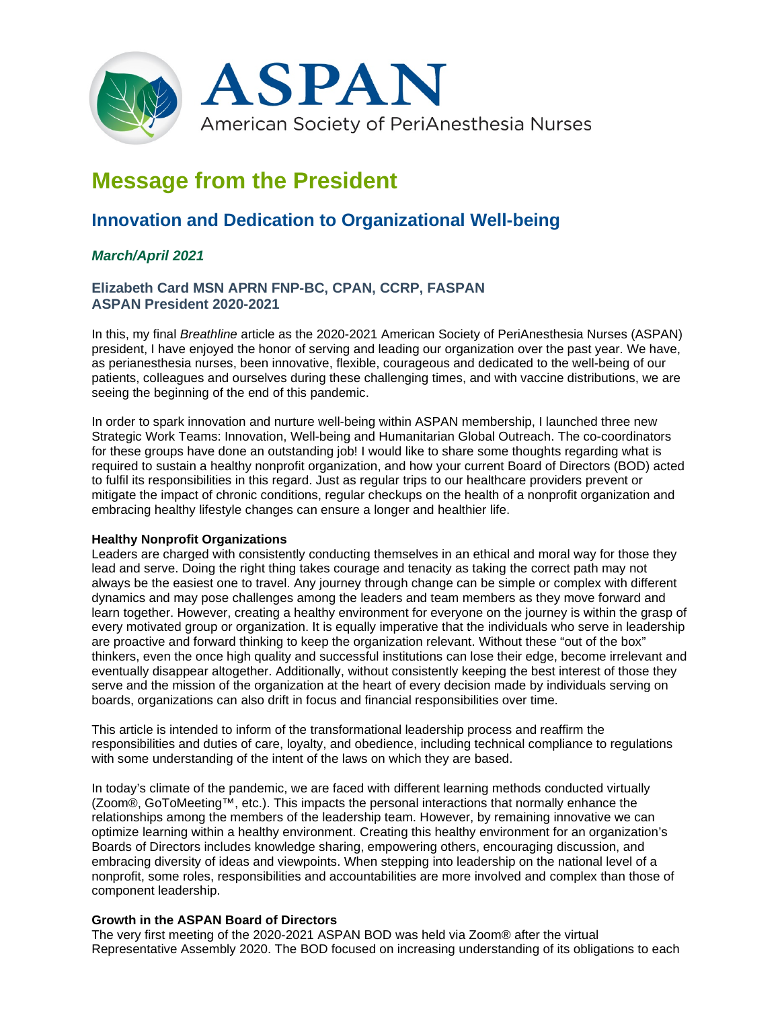

# **Message from the President**

# **Innovation and Dedication to Organizational Well-being**

# *March/April 2021*

## **Elizabeth Card MSN APRN FNP-BC, CPAN, CCRP, FASPAN ASPAN President 2020-2021**

In this, my final *Breathline* article as the 2020-2021 American Society of PeriAnesthesia Nurses (ASPAN) president, I have enjoyed the honor of serving and leading our organization over the past year. We have, as perianesthesia nurses, been innovative, flexible, courageous and dedicated to the well-being of our patients, colleagues and ourselves during these challenging times, and with vaccine distributions, we are seeing the beginning of the end of this pandemic.

In order to spark innovation and nurture well-being within ASPAN membership, I launched three new Strategic Work Teams: Innovation, Well-being and Humanitarian Global Outreach. The co-coordinators for these groups have done an outstanding job! I would like to share some thoughts regarding what is required to sustain a healthy nonprofit organization, and how your current Board of Directors (BOD) acted to fulfil its responsibilities in this regard. Just as regular trips to our healthcare providers prevent or mitigate the impact of chronic conditions, regular checkups on the health of a nonprofit organization and embracing healthy lifestyle changes can ensure a longer and healthier life.

#### **Healthy Nonprofit Organizations**

Leaders are charged with consistently conducting themselves in an ethical and moral way for those they lead and serve. Doing the right thing takes courage and tenacity as taking the correct path may not always be the easiest one to travel. Any journey through change can be simple or complex with different dynamics and may pose challenges among the leaders and team members as they move forward and learn together. However, creating a healthy environment for everyone on the journey is within the grasp of every motivated group or organization. It is equally imperative that the individuals who serve in leadership are proactive and forward thinking to keep the organization relevant. Without these "out of the box" thinkers, even the once high quality and successful institutions can lose their edge, become irrelevant and eventually disappear altogether. Additionally, without consistently keeping the best interest of those they serve and the mission of the organization at the heart of every decision made by individuals serving on boards, organizations can also drift in focus and financial responsibilities over time.

This article is intended to inform of the transformational leadership process and reaffirm the responsibilities and duties of care, loyalty, and obedience, including technical compliance to regulations with some understanding of the intent of the laws on which they are based.

In today's climate of the pandemic, we are faced with different learning methods conducted virtually (Zoom®, GoToMeeting™, etc.). This impacts the personal interactions that normally enhance the relationships among the members of the leadership team. However, by remaining innovative we can optimize learning within a healthy environment. Creating this healthy environment for an organization's Boards of Directors includes knowledge sharing, empowering others, encouraging discussion, and embracing diversity of ideas and viewpoints. When stepping into leadership on the national level of a nonprofit, some roles, responsibilities and accountabilities are more involved and complex than those of component leadership.

#### **Growth in the ASPAN Board of Directors**

The very first meeting of the 2020-2021 ASPAN BOD was held via Zoom® after the virtual Representative Assembly 2020. The BOD focused on increasing understanding of its obligations to each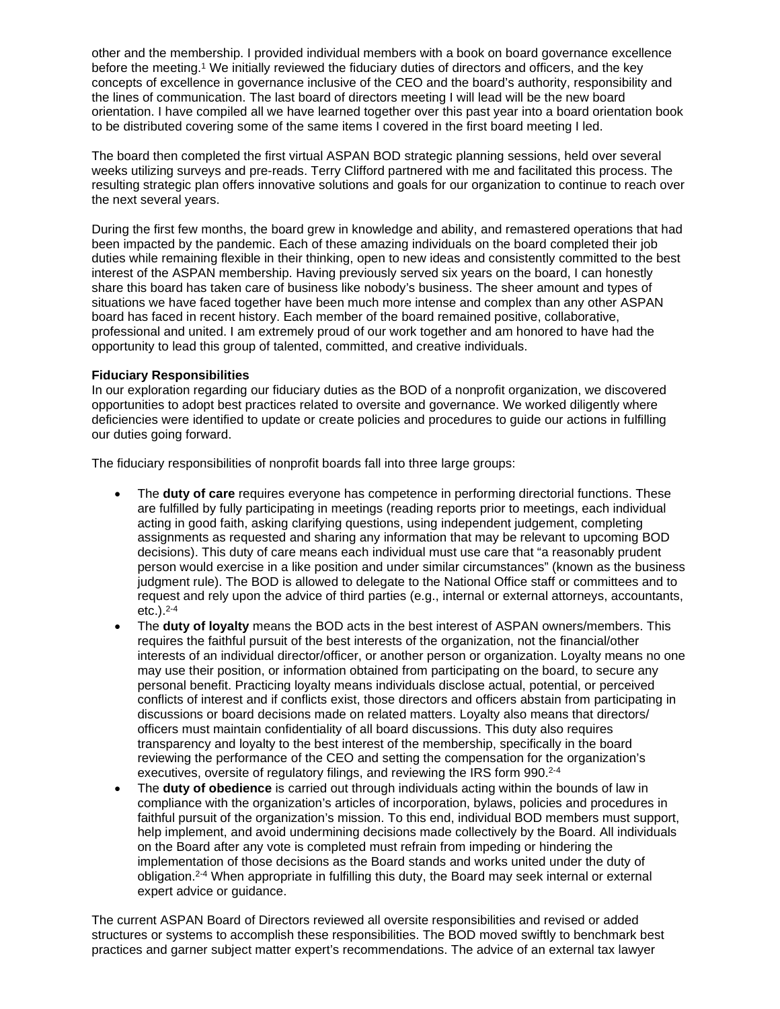other and the membership. I provided individual members with a book on board governance excellence before the meeting.1 We initially reviewed the fiduciary duties of directors and officers, and the key concepts of excellence in governance inclusive of the CEO and the board's authority, responsibility and the lines of communication. The last board of directors meeting I will lead will be the new board orientation. I have compiled all we have learned together over this past year into a board orientation book to be distributed covering some of the same items I covered in the first board meeting I led.

The board then completed the first virtual ASPAN BOD strategic planning sessions, held over several weeks utilizing surveys and pre-reads. Terry Clifford partnered with me and facilitated this process. The resulting strategic plan offers innovative solutions and goals for our organization to continue to reach over the next several years.

During the first few months, the board grew in knowledge and ability, and remastered operations that had been impacted by the pandemic. Each of these amazing individuals on the board completed their job duties while remaining flexible in their thinking, open to new ideas and consistently committed to the best interest of the ASPAN membership. Having previously served six years on the board, I can honestly share this board has taken care of business like nobody's business. The sheer amount and types of situations we have faced together have been much more intense and complex than any other ASPAN board has faced in recent history. Each member of the board remained positive, collaborative, professional and united. I am extremely proud of our work together and am honored to have had the opportunity to lead this group of talented, committed, and creative individuals.

#### **Fiduciary Responsibilities**

In our exploration regarding our fiduciary duties as the BOD of a nonprofit organization, we discovered opportunities to adopt best practices related to oversite and governance. We worked diligently where deficiencies were identified to update or create policies and procedures to guide our actions in fulfilling our duties going forward.

The fiduciary responsibilities of nonprofit boards fall into three large groups:

- The **duty of care** requires everyone has competence in performing directorial functions. These are fulfilled by fully participating in meetings (reading reports prior to meetings, each individual acting in good faith, asking clarifying questions, using independent judgement, completing assignments as requested and sharing any information that may be relevant to upcoming BOD decisions). This duty of care means each individual must use care that "a reasonably prudent person would exercise in a like position and under similar circumstances" (known as the business judgment rule). The BOD is allowed to delegate to the National Office staff or committees and to request and rely upon the advice of third parties (e.g., internal or external attorneys, accountants, etc.).2-4
- The **duty of loyalty** means the BOD acts in the best interest of ASPAN owners/members. This requires the faithful pursuit of the best interests of the organization, not the financial/other interests of an individual director/officer, or another person or organization. Loyalty means no one may use their position, or information obtained from participating on the board, to secure any personal benefit. Practicing loyalty means individuals disclose actual, potential, or perceived conflicts of interest and if conflicts exist, those directors and officers abstain from participating in discussions or board decisions made on related matters. Loyalty also means that directors/ officers must maintain confidentiality of all board discussions. This duty also requires transparency and loyalty to the best interest of the membership, specifically in the board reviewing the performance of the CEO and setting the compensation for the organization's executives, oversite of regulatory filings, and reviewing the IRS form 990.<sup>2-4</sup>
- The **duty of obedience** is carried out through individuals acting within the bounds of law in compliance with the organization's articles of incorporation, bylaws, policies and procedures in faithful pursuit of the organization's mission. To this end, individual BOD members must support, help implement, and avoid undermining decisions made collectively by the Board. All individuals on the Board after any vote is completed must refrain from impeding or hindering the implementation of those decisions as the Board stands and works united under the duty of obligation.2-4 When appropriate in fulfilling this duty, the Board may seek internal or external expert advice or guidance.

The current ASPAN Board of Directors reviewed all oversite responsibilities and revised or added structures or systems to accomplish these responsibilities. The BOD moved swiftly to benchmark best practices and garner subject matter expert's recommendations. The advice of an external tax lawyer